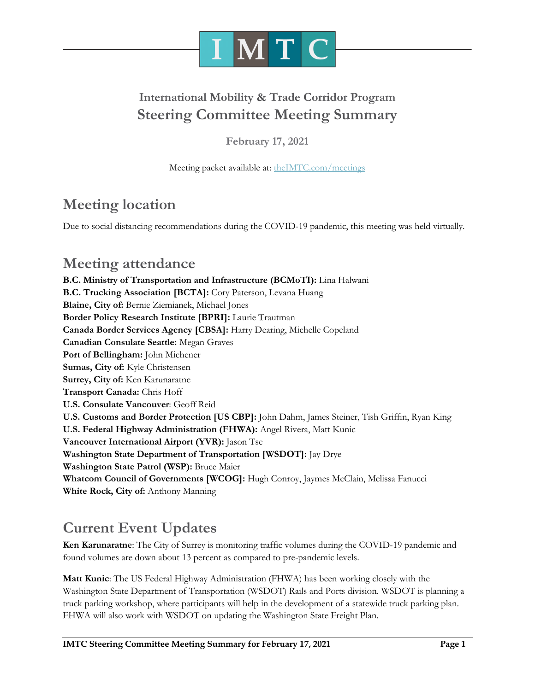

# **International Mobility & Trade Corridor Program Steering Committee Meeting Summary**

**February 17, 2021**

Meeting packet available at: [theIMTC.com/meetings](http://theimtc.com/meetings)

# **Meeting location**

Due to social distancing recommendations during the COVID-19 pandemic, this meeting was held virtually.

# **Meeting attendance**

**B.C. Ministry of Transportation and Infrastructure (BCMoTI):** Lina Halwani **B.C. Trucking Association [BCTA]:** Cory Paterson, Levana Huang **Blaine, City of:** Bernie Ziemianek, Michael Jones **Border Policy Research Institute [BPRI]:** Laurie Trautman **Canada Border Services Agency [CBSA]:** Harry Dearing, Michelle Copeland **Canadian Consulate Seattle:** Megan Graves **Port of Bellingham:** John Michener **Sumas, City of:** Kyle Christensen **Surrey, City of:** Ken Karunaratne **Transport Canada:** Chris Hoff **U.S. Consulate Vancouver**: Geoff Reid **U.S. Customs and Border Protection [US CBP]:** John Dahm, James Steiner, Tish Griffin, Ryan King **U.S. Federal Highway Administration (FHWA):** Angel Rivera, Matt Kunic **Vancouver International Airport (YVR):** Jason Tse **Washington State Department of Transportation [WSDOT]:** Jay Drye **Washington State Patrol (WSP):** Bruce Maier **Whatcom Council of Governments [WCOG]:** Hugh Conroy, Jaymes McClain, Melissa Fanucci **White Rock, City of:** Anthony Manning

# **Current Event Updates**

**Ken Karunaratne**: The City of Surrey is monitoring traffic volumes during the COVID-19 pandemic and found volumes are down about 13 percent as compared to pre-pandemic levels.

**Matt Kunic**: The US Federal Highway Administration (FHWA) has been working closely with the Washington State Department of Transportation (WSDOT) Rails and Ports division. WSDOT is planning a truck parking workshop, where participants will help in the development of a statewide truck parking plan. FHWA will also work with WSDOT on updating the Washington State Freight Plan.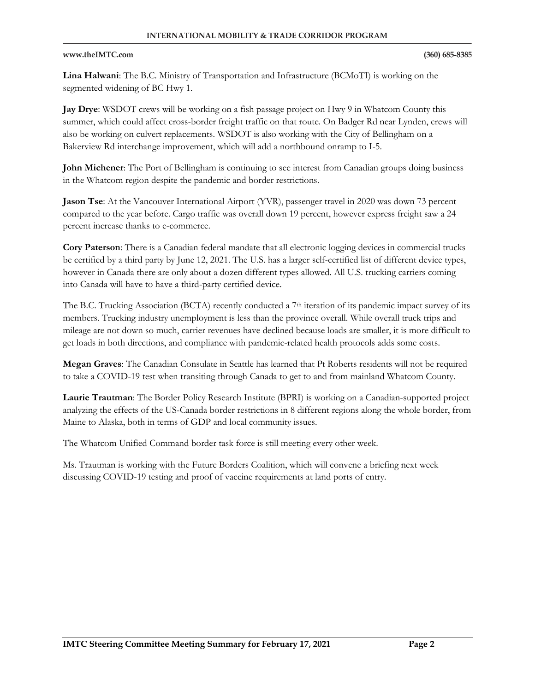**Lina Halwani**: The B.C. Ministry of Transportation and Infrastructure (BCMoTI) is working on the segmented widening of BC Hwy 1.

**Jay Drye**: WSDOT crews will be working on a fish passage project on Hwy 9 in Whatcom County this summer, which could affect cross-border freight traffic on that route. On Badger Rd near Lynden, crews will also be working on culvert replacements. WSDOT is also working with the City of Bellingham on a Bakerview Rd interchange improvement, which will add a northbound onramp to I-5.

**John Michener**: The Port of Bellingham is continuing to see interest from Canadian groups doing business in the Whatcom region despite the pandemic and border restrictions.

**Jason Tse**: At the Vancouver International Airport (YVR), passenger travel in 2020 was down 73 percent compared to the year before. Cargo traffic was overall down 19 percent, however express freight saw a 24 percent increase thanks to e-commerce.

**Cory Paterson**: There is a Canadian federal mandate that all electronic logging devices in commercial trucks be certified by a third party by June 12, 2021. The U.S. has a larger self-certified list of different device types, however in Canada there are only about a dozen different types allowed. All U.S. trucking carriers coming into Canada will have to have a third-party certified device.

The B.C. Trucking Association (BCTA) recently conducted a 7<sup>th</sup> iteration of its pandemic impact survey of its members. Trucking industry unemployment is less than the province overall. While overall truck trips and mileage are not down so much, carrier revenues have declined because loads are smaller, it is more difficult to get loads in both directions, and compliance with pandemic-related health protocols adds some costs.

**Megan Graves**: The Canadian Consulate in Seattle has learned that Pt Roberts residents will not be required to take a COVID-19 test when transiting through Canada to get to and from mainland Whatcom County.

**Laurie Trautman**: The Border Policy Research Institute (BPRI) is working on a Canadian-supported project analyzing the effects of the US-Canada border restrictions in 8 different regions along the whole border, from Maine to Alaska, both in terms of GDP and local community issues.

The Whatcom Unified Command border task force is still meeting every other week.

Ms. Trautman is working with the Future Borders Coalition, which will convene a briefing next week discussing COVID-19 testing and proof of vaccine requirements at land ports of entry.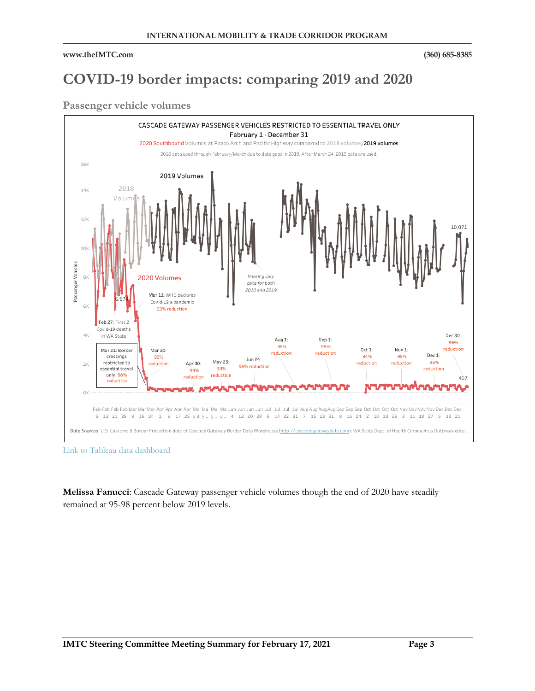# **COVID-19 border impacts: comparing 2019 and 2020**

### **Passenger vehicle volumes**



**Melissa Fanucci**: Cascade Gateway passenger vehicle volumes though the end of 2020 have steadily remained at 95-98 percent below 2019 levels.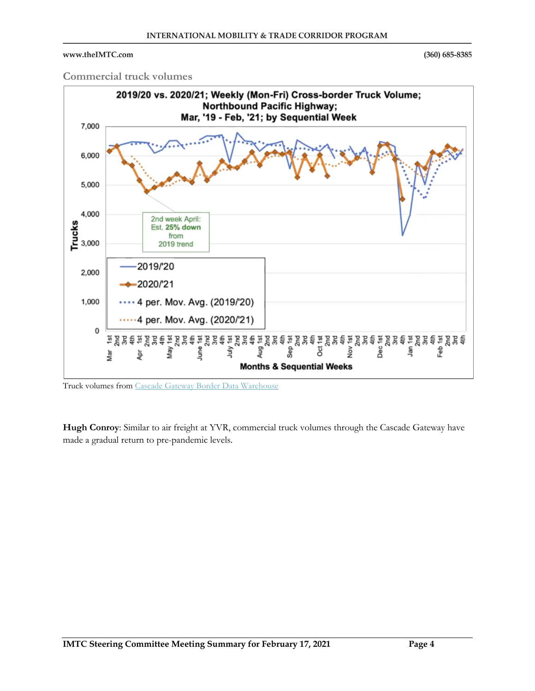$(360)$  685-8385

### **Commercial truck volumes**



Truck volumes fro[m Cascade Gateway Border Data Warehouse](https://www.cascadegatewaydata.com/Dashboard)

**Hugh Conroy**: Similar to air freight at YVR, commercial truck volumes through the Cascade Gateway have made a gradual return to pre-pandemic levels.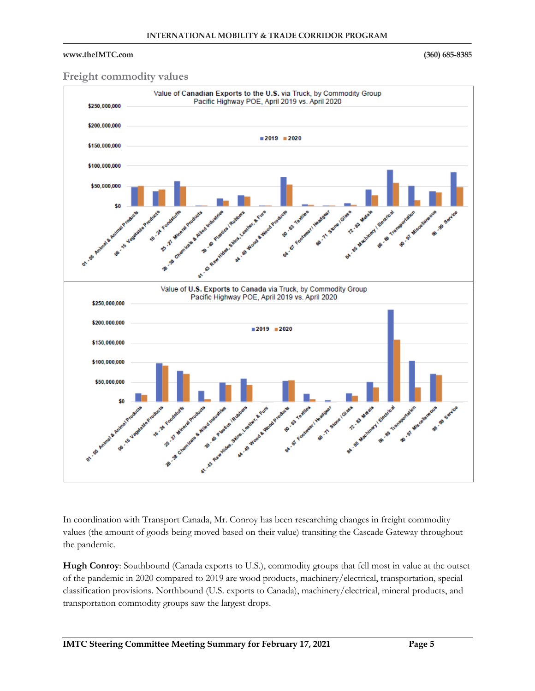$(360)$  685-8385

### **Freight commodity values**



In coordination with Transport Canada, Mr. Conroy has been researching changes in freight commodity values (the amount of goods being moved based on their value) transiting the Cascade Gateway throughout the pandemic.

**Hugh Conroy**: Southbound (Canada exports to U.S.), commodity groups that fell most in value at the outset of the pandemic in 2020 compared to 2019 are wood products, machinery/electrical, transportation, special classification provisions. Northbound (U.S. exports to Canada), machinery/electrical, mineral products, and transportation commodity groups saw the largest drops.